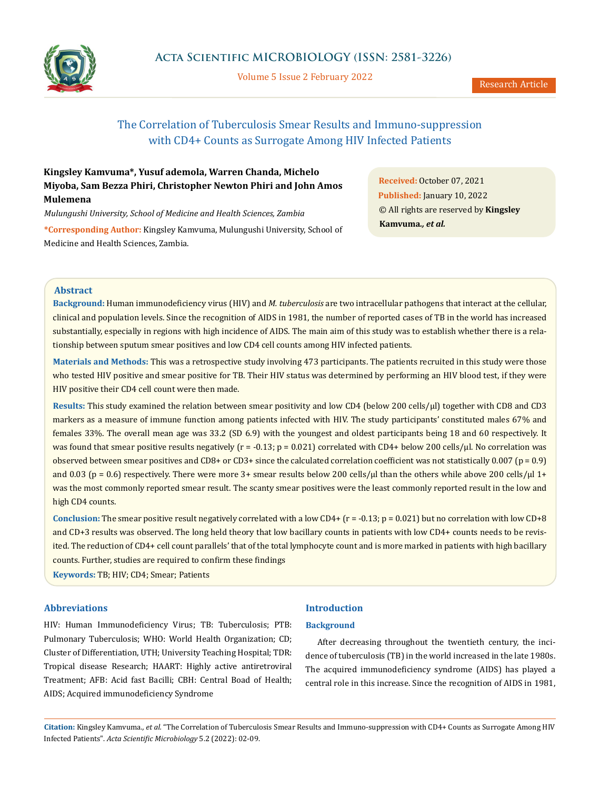

Volume 5 Issue 2 February 2022

# The Correlation of Tuberculosis Smear Results and Immuno-suppression with CD4+ Counts as Surrogate Among HIV Infected Patients

## **Kingsley Kamvuma\*, Yusuf ademola, Warren Chanda, Michelo Miyoba, Sam Bezza Phiri, Christopher Newton Phiri and John Amos Mulemena**

*Mulungushi University, School of Medicine and Health Sciences, Zambia*

**\*Corresponding Author:** Kingsley Kamvuma, Mulungushi University, School of Medicine and Health Sciences, Zambia.

**Received:** October 07, 2021 **Published:** January 10, 2022 © All rights are reserved by **Kingsley Kamvuma***., et al.*

## **Abstract**

**Background:** Human immunodeficiency virus (HIV) and *M. tuberculosis* are two intracellular pathogens that interact at the cellular, clinical and population levels. Since the recognition of AIDS in 1981, the number of reported cases of TB in the world has increased substantially, especially in regions with high incidence of AIDS. The main aim of this study was to establish whether there is a relationship between sputum smear positives and low CD4 cell counts among HIV infected patients.

**Materials and Methods:** This was a retrospective study involving 473 participants. The patients recruited in this study were those who tested HIV positive and smear positive for TB. Their HIV status was determined by performing an HIV blood test, if they were HIV positive their CD4 cell count were then made.

**Results:** This study examined the relation between smear positivity and low CD4 (below 200 cells/µl) together with CD8 and CD3 markers as a measure of immune function among patients infected with HIV. The study participants' constituted males 67% and females 33%. The overall mean age was 33.2 (SD 6.9) with the youngest and oldest participants being 18 and 60 respectively. It was found that smear positive results negatively ( $r = -0.13$ ;  $p = 0.021$ ) correlated with CD4+ below 200 cells/µl. No correlation was observed between smear positives and CD8+ or CD3+ since the calculated correlation coefficient was not statistically  $0.007$  (p = 0.9) and 0.03 (p = 0.6) respectively. There were more 3+ smear results below 200 cells/ $\mu$ l than the others while above 200 cells/ $\mu$ l 1+ was the most commonly reported smear result. The scanty smear positives were the least commonly reported result in the low and high CD4 counts.

**Conclusion:** The smear positive result negatively correlated with a low CD4+ (r = -0.13; p = 0.021) but no correlation with low CD+8 and CD+3 results was observed. The long held theory that low bacillary counts in patients with low CD4+ counts needs to be revisited. The reduction of CD4+ cell count parallels' that of the total lymphocyte count and is more marked in patients with high bacillary counts. Further, studies are required to confirm these findings

**Keywords:** TB; HIV; CD4; Smear; Patients

## **Abbreviations**

HIV: Human Immunodeficiency Virus; TB: Tuberculosis; PTB: Pulmonary Tuberculosis; WHO: World Health Organization; CD; Cluster of Differentiation, UTH; University Teaching Hospital; TDR: Tropical disease Research; HAART: Highly active antiretroviral Treatment; AFB: Acid fast Bacilli; CBH: Central Boad of Health; AIDS; Acquired immunodeficiency Syndrome

## **Introduction**

## **Background**

After decreasing throughout the twentieth century, the incidence of tuberculosis (TB) in the world increased in the late 1980s. The acquired immunodeficiency syndrome (AIDS) has played a central role in this increase. Since the recognition of AIDS in 1981,

**Citation:** Kingsley Kamvuma*., et al.* "The Correlation of Tuberculosis Smear Results and Immuno-suppression with CD4+ Counts as Surrogate Among HIV Infected Patients". *Acta Scientific Microbiology* 5.2 (2022): 02-09.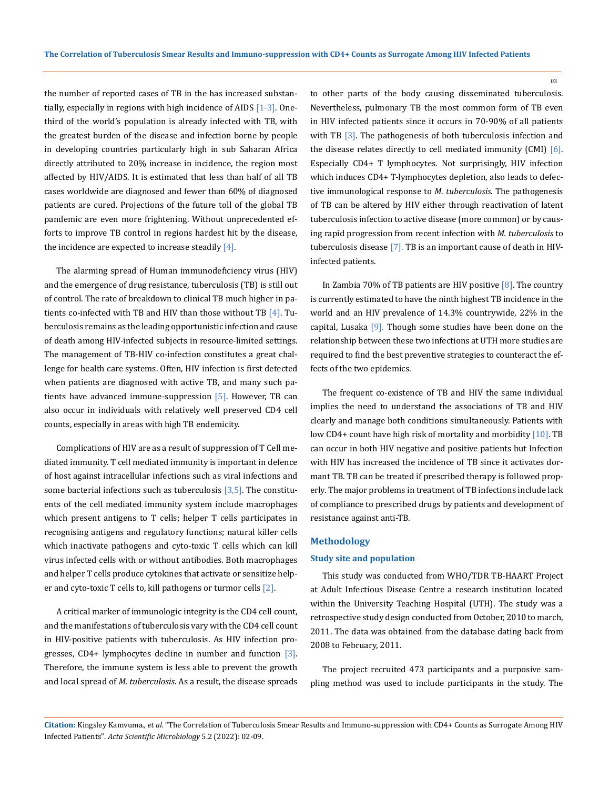the number of reported cases of TB in the has increased substantially, especially in regions with high incidence of AIDS  $[1-3]$ . Onethird of the world's population is already infected with TB, with the greatest burden of the disease and infection borne by people in developing countries particularly high in sub Saharan Africa directly attributed to 20% increase in incidence, the region most affected by HIV/AIDS. It is estimated that less than half of all TB cases worldwide are diagnosed and fewer than 60% of diagnosed patients are cured. Projections of the future toll of the global TB pandemic are even more frightening. Without unprecedented efforts to improve TB control in regions hardest hit by the disease, the incidence are expected to increase steadily  $[4]$ .

The alarming spread of Human immunodeficiency virus (HIV) and the emergence of drug resistance, tuberculosis (TB) is still out of control. The rate of breakdown to clinical TB much higher in patients co-infected with TB and HIV than those without TB  $[4]$ . Tuberculosis remains as the leading opportunistic infection and cause of death among HIV-infected subjects in resource-limited settings. The management of TB-HIV co-infection constitutes a great challenge for health care systems. Often, HIV infection is first detected when patients are diagnosed with active TB, and many such patients have advanced immune-suppression [5]. However, TB can also occur in individuals with relatively well preserved CD4 cell counts, especially in areas with high TB endemicity.

Complications of HIV are as a result of suppression of T Cell mediated immunity. T cell mediated immunity is important in defence of host against intracellular infections such as viral infections and some bacterial infections such as tuberculosis  $[3,5]$ . The constituents of the cell mediated immunity system include macrophages which present antigens to T cells; helper T cells participates in recognising antigens and regulatory functions; natural killer cells which inactivate pathogens and cyto-toxic T cells which can kill virus infected cells with or without antibodies. Both macrophages and helper T cells produce cytokines that activate or sensitize helper and cyto-toxic T cells to, kill pathogens or turmor cells [2].

A critical marker of immunologic integrity is the CD4 cell count, and the manifestations of tuberculosis vary with the CD4 cell count in HIV-positive patients with tuberculosis. As HIV infection progresses,  $CD4+$  lymphocytes decline in number and function  $[3]$ . Therefore, the immune system is less able to prevent the growth and local spread of *M. tuberculosis*. As a result, the disease spreads

to other parts of the body causing disseminated tuberculosis. Nevertheless, pulmonary TB the most common form of TB even in HIV infected patients since it occurs in 70-90% of all patients with TB [3]. The pathogenesis of both tuberculosis infection and the disease relates directly to cell mediated immunity (CMI) [6]. Especially CD4+ T lymphocytes. Not surprisingly, HIV infection which induces CD4+ T-lymphocytes depletion, also leads to defective immunological response to *M. tuberculosis*. The pathogenesis of TB can be altered by HIV either through reactivation of latent tuberculosis infection to active disease (more common) or by causing rapid progression from recent infection with *M. tuberculosis* to tuberculosis disease [7]. TB is an important cause of death in HIVinfected patients.

In Zambia 70% of TB patients are HIV positive  $[8]$ . The country is currently estimated to have the ninth highest TB incidence in the world and an HIV prevalence of 14.3% countrywide, 22% in the capital, Lusaka  $[9]$ . Though some studies have been done on the relationship between these two infections at UTH more studies are required to find the best preventive strategies to counteract the effects of the two epidemics.

The frequent co-existence of TB and HIV the same individual implies the need to understand the associations of TB and HIV clearly and manage both conditions simultaneously. Patients with low CD4+ count have high risk of mortality and morbidity [10]. TB can occur in both HIV negative and positive patients but Infection with HIV has increased the incidence of TB since it activates dormant TB. TB can be treated if prescribed therapy is followed properly. The major problems in treatment of TB infections include lack of compliance to prescribed drugs by patients and development of resistance against anti-TB.

## **Methodology**

#### **Study site and population**

This study was conducted from WHO/TDR TB-HAART Project at Adult Infectious Disease Centre a research institution located within the University Teaching Hospital (UTH). The study was a retrospective study design conducted from October, 2010 to march, 2011. The data was obtained from the database dating back from 2008 to February, 2011.

The project recruited 473 participants and a purposive sampling method was used to include participants in the study. The

**Citation:** Kingsley Kamvuma*., et al.* "The Correlation of Tuberculosis Smear Results and Immuno-suppression with CD4+ Counts as Surrogate Among HIV Infected Patients". *Acta Scientific Microbiology* 5.2 (2022): 02-09.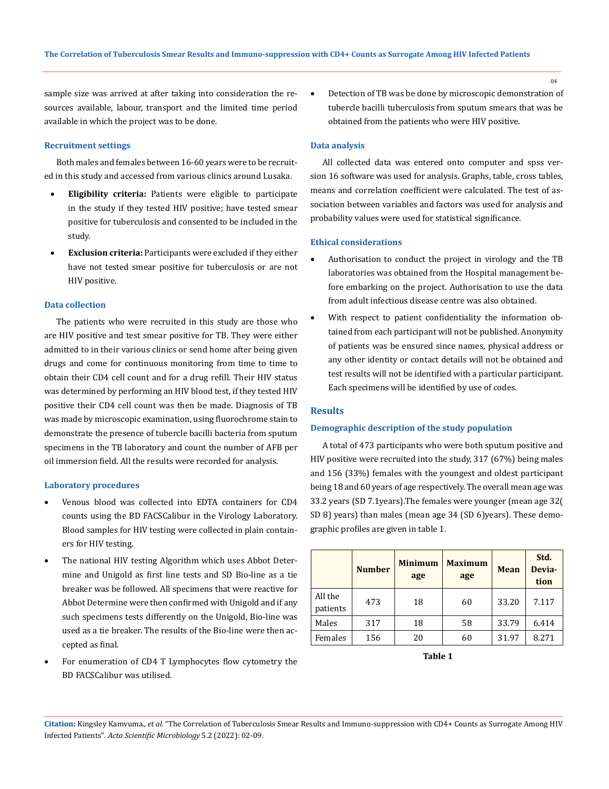sample size was arrived at after taking into consideration the resources available, labour, transport and the limited time period available in which the project was to be done.

### **Recruitment settings**

Both males and females between 16-60 years were to be recruited in this study and accessed from various clinics around Lusaka.

- **Eligibility criteria:** Patients were eligible to participate in the study if they tested HIV positive; have tested smear positive for tuberculosis and consented to be included in the study.
- **Exclusion criteria:** Participants were excluded if they either have not tested smear positive for tuberculosis or are not HIV positive.

#### **Data collection**

The patients who were recruited in this study are those who are HIV positive and test smear positive for TB. They were either admitted to in their various clinics or send home after being given drugs and come for continuous monitoring from time to time to obtain their CD4 cell count and for a drug refill. Their HIV status was determined by performing an HIV blood test, if they tested HIV positive their CD4 cell count was then be made. Diagnosis of TB was made by microscopic examination, using fluorochrome stain to demonstrate the presence of tubercle bacilli bacteria from sputum specimens in the TB laboratory and count the number of AFB per oil immersion field. All the results were recorded for analysis.

#### **Laboratory procedures**

- Venous blood was collected into EDTA containers for CD4 counts using the BD FACSCalibur in the Virology Laboratory. Blood samples for HIV testing were collected in plain containers for HIV testing.
- The national HIV testing Algorithm which uses Abbot Determine and Unigold as first line tests and SD Bio-line as a tie breaker was be followed. All specimens that were reactive for Abbot Determine were then confirmed with Unigold and if any such specimens tests differently on the Unigold, Bio-line was used as a tie breaker. The results of the Bio-line were then accepted as final.
- For enumeration of CD4 T Lymphocytes flow cytometry the BD FACSCalibur was utilised.

Detection of TB was be done by microscopic demonstration of tubercle bacilli tuberculosis from sputum smears that was be obtained from the patients who were HIV positive.

#### **Data analysis**

All collected data was entered onto computer and spss version 16 software was used for analysis. Graphs, table, cross tables, means and correlation coefficient were calculated. The test of association between variables and factors was used for analysis and probability values were used for statistical significance.

## **Ethical considerations**

- Authorisation to conduct the project in virology and the TB laboratories was obtained from the Hospital management before embarking on the project. Authorisation to use the data from adult infectious disease centre was also obtained.
- With respect to patient confidentiality the information obtained from each participant will not be published. Anonymity of patients was be ensured since names, physical address or any other identity or contact details will not be obtained and test results will not be identified with a particular participant. Each specimens will be identified by use of codes.

## **Results**

## **Demographic description of the study population**

A total of 473 participants who were both sputum positive and HIV positive were recruited into the study, 317 (67%) being males and 156 (33%) females with the youngest and oldest participant being 18 and 60 years of age respectively. The overall mean age was 33.2 years (SD 7.1years).The females were younger (mean age 32( SD 8) years) than males (mean age 34 (SD 6)years). These demographic profiles are given in table 1.

|                     | <b>Number</b> | <b>Minimum</b><br>age | <b>Maximum</b><br>age | <b>Mean</b> | Std.<br>Devia-<br>tion |
|---------------------|---------------|-----------------------|-----------------------|-------------|------------------------|
| All the<br>patients | 473           | 18                    | 60                    | 33.20       | 7.117                  |
| Males               | 317           | 18                    | 58                    | 33.79       | 6.414                  |
| Females             | 156           | 20                    | 60                    | 31.97       | 8.271                  |

 **Table 1**

**Citation:** Kingsley Kamvuma*., et al.* "The Correlation of Tuberculosis Smear Results and Immuno-suppression with CD4+ Counts as Surrogate Among HIV Infected Patients". *Acta Scientific Microbiology* 5.2 (2022): 02-09.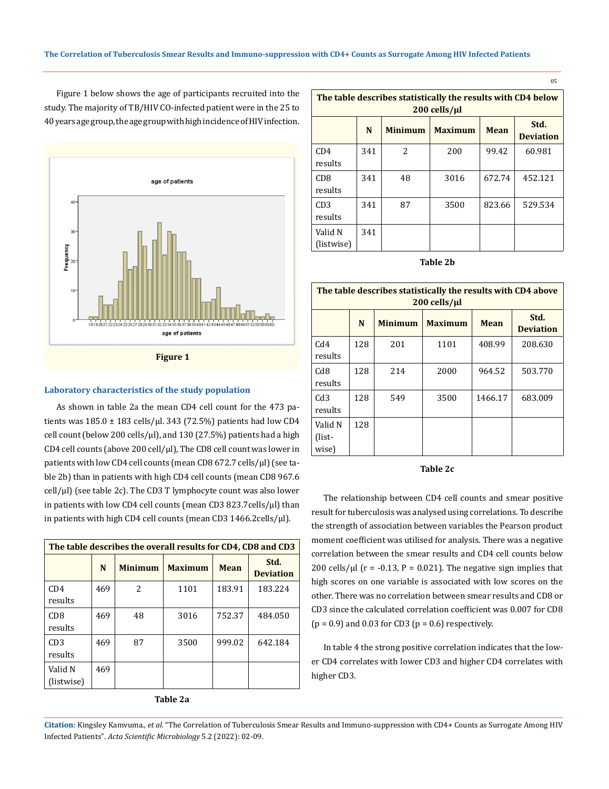Figure 1 below shows the age of participants recruited into the study. The majority of TB/HIV CO-infected patient were in the 25 to 40 years age group, the age group with high incidence of HIV infection.



#### **Laboratory characteristics of the study population**

As shown in table 2a the mean CD4 cell count for the 473 patients was  $185.0 \pm 183$  cells/ $\mu$ l. 343 (72.5%) patients had low CD4 cell count (below 200 cells/ $\mu$ l), and 130 (27.5%) patients had a high CD4 cell counts (above 200 cell/µl), The CD8 cell count was lower in patients with low CD4 cell counts (mean CD8 672.7 cells/µl) (see table 2b) than in patients with high CD4 cell counts (mean CD8 967.6 cell/µl) (see table 2c). The CD3 T lymphocyte count was also lower in patients with low CD4 cell counts (mean CD3 823.7cells/ $\mu$ l) than in patients with high CD4 cell counts (mean CD3 1466.2cells/µl).

| The table describes the overall results for CD4, CD8 and CD3 |     |                |                |        |                          |  |
|--------------------------------------------------------------|-----|----------------|----------------|--------|--------------------------|--|
|                                                              | N   | <b>Minimum</b> | <b>Maximum</b> | Mean   | Std.<br><b>Deviation</b> |  |
| CD4<br>results                                               | 469 | 2              | 1101           | 183.91 | 183.224                  |  |
| C <sub>D</sub> 8<br>results                                  | 469 | 48             | 3016           | 752.37 | 484.050                  |  |
| CD3<br>results                                               | 469 | 87             | 3500           | 999.02 | 642.184                  |  |
| Valid N<br>(listwise)                                        | 469 |                |                |        |                          |  |



| The table describes statistically the results with CD4 below<br>200 cells/µl |     |                |                |             |                          |  |
|------------------------------------------------------------------------------|-----|----------------|----------------|-------------|--------------------------|--|
|                                                                              | N   | <b>Minimum</b> | <b>Maximum</b> | <b>Mean</b> | Std.<br><b>Deviation</b> |  |
| CD4<br>results                                                               | 341 | 2              | 200            | 99.42       | 60.981                   |  |
| C <sub>D</sub> 8<br>results                                                  | 341 | 48             | 3016           | 672.74      | 452.121                  |  |
| CD3<br>results                                                               | 341 | 87             | 3500           | 823.66      | 529.534                  |  |
| Valid N<br>(listwise)                                                        | 341 |                |                |             |                          |  |

05

**Table 2b**

| The table describes statistically the results with CD4 above<br>200 cells/µl |     |                |                |         |                          |  |  |
|------------------------------------------------------------------------------|-----|----------------|----------------|---------|--------------------------|--|--|
|                                                                              | N   | <b>Minimum</b> | <b>Maximum</b> | Mean    | Std.<br><b>Deviation</b> |  |  |
| C <sub>d4</sub><br>results                                                   | 128 | 201            | 1101           | 408.99  | 208.630                  |  |  |
| Cd8<br>results                                                               | 128 | 214            | 2000           | 964.52  | 503.770                  |  |  |
| Cd3<br>results                                                               | 128 | 549            | 3500           | 1466.17 | 683.009                  |  |  |
| Valid N<br>(list-<br>wise)                                                   | 128 |                |                |         |                          |  |  |

## **Table 2c**

The relationship between CD4 cell counts and smear positive result for tuberculosis was analysed using correlations. To describe the strength of association between variables the Pearson product moment coefficient was utilised for analysis. There was a negative correlation between the smear results and CD4 cell counts below 200 cells/ $\mu$ l (r = -0.13, P = 0.021). The negative sign implies that high scores on one variable is associated with low scores on the other. There was no correlation between smear results and CD8 or CD3 since the calculated correlation coefficient was 0.007 for CD8  $(p = 0.9)$  and 0.03 for CD3  $(p = 0.6)$  respectively.

In table 4 the strong positive correlation indicates that the lower CD4 correlates with lower CD3 and higher CD4 correlates with higher CD3.

**Citation:** Kingsley Kamvuma*., et al.* "The Correlation of Tuberculosis Smear Results and Immuno-suppression with CD4+ Counts as Surrogate Among HIV Infected Patients". *Acta Scientific Microbiology* 5.2 (2022): 02-09.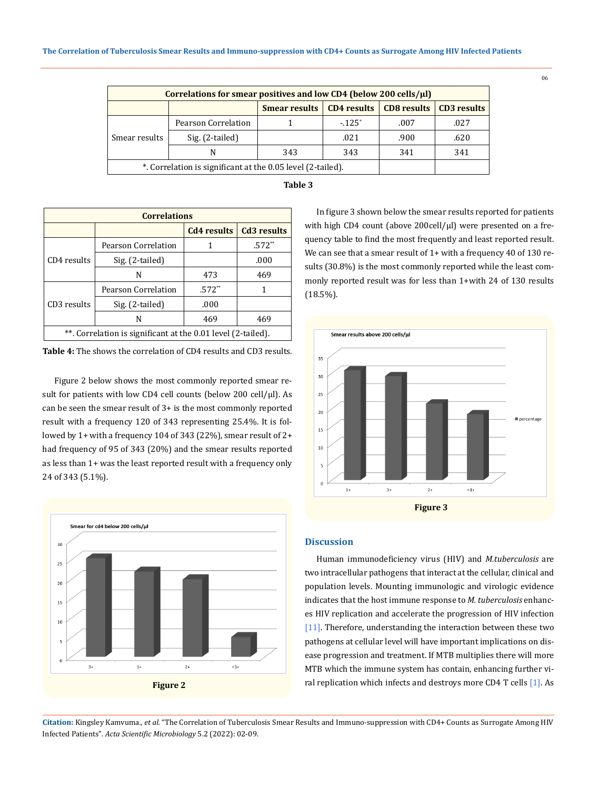| Correlations for smear positives and low CD4 (below 200 cells/ $\mu$ l) |                     |                      |                    |                    |                    |  |  |
|-------------------------------------------------------------------------|---------------------|----------------------|--------------------|--------------------|--------------------|--|--|
|                                                                         |                     | <b>Smear results</b> | <b>CD4</b> results | <b>CD8</b> results | <b>CD3</b> results |  |  |
| Smear results                                                           | Pearson Correlation |                      | $-125^*$           | .007               | .027               |  |  |
|                                                                         | Sig. (2-tailed)     |                      | .021               | .900               | .620               |  |  |
|                                                                         |                     | 343                  | 343                | 341                | 341                |  |  |
| *. Correlation is significant at the 0.05 level (2-tailed).             |                     |                      |                    |                    |                    |  |  |

| abie |  |
|------|--|
|------|--|

| <b>Correlations</b>                                          |                     |                    |                    |  |  |  |
|--------------------------------------------------------------|---------------------|--------------------|--------------------|--|--|--|
|                                                              |                     | <b>Cd4</b> results | <b>Cd3</b> results |  |  |  |
| CD4 results                                                  | Pearson Correlation |                    | $.572**$           |  |  |  |
|                                                              | Sig. (2-tailed)     |                    | .000               |  |  |  |
|                                                              | N                   | 473                | 469                |  |  |  |
| CD3 results                                                  | Pearson Correlation | $.572**$           | 1                  |  |  |  |
|                                                              | Sig. (2-tailed)     | .000               |                    |  |  |  |
|                                                              | N                   | 469                | 469                |  |  |  |
| **. Correlation is significant at the 0.01 level (2-tailed). |                     |                    |                    |  |  |  |

**Table 4:** The shows the correlation of CD4 results and CD3 results.

Figure 2 below shows the most commonly reported smear result for patients with low CD4 cell counts (below 200 cell/ $\mu$ l). As can be seen the smear result of 3+ is the most commonly reported result with a frequency 120 of 343 representing 25.4%. It is followed by 1+ with a frequency 104 of 343 (22%), smear result of 2+ had frequency of 95 of 343 (20%) and the smear results reported as less than 1+ was the least reported result with a frequency only 24 of 343 (5.1%).



In figure 3 shown below the smear results reported for patients with high CD4 count (above 200cell/µl) were presented on a frequency table to find the most frequently and least reported result. We can see that a smear result of 1+ with a frequency 40 of 130 results (30.8%) is the most commonly reported while the least commonly reported result was for less than 1+with 24 of 130 results (18.5%).



## **Discussion**

Human immunodeficiency virus (HIV) and *M.tuberculosis* are two intracellular pathogens that interact at the cellular, clinical and population levels. Mounting immunologic and virologic evidence indicates that the host immune response to *M. tuberculosis* enhances HIV replication and accelerate the progression of HIV infection [11]. Therefore, understanding the interaction between these two pathogens at cellular level will have important implications on disease progression and treatment. If MTB multiplies there will more MTB which the immune system has contain, enhancing further viral replication which infects and destroys more CD4 T cells [1]. As

**Citation:** Kingsley Kamvuma*., et al.* "The Correlation of Tuberculosis Smear Results and Immuno-suppression with CD4+ Counts as Surrogate Among HIV Infected Patients". *Acta Scientific Microbiology* 5.2 (2022): 02-09.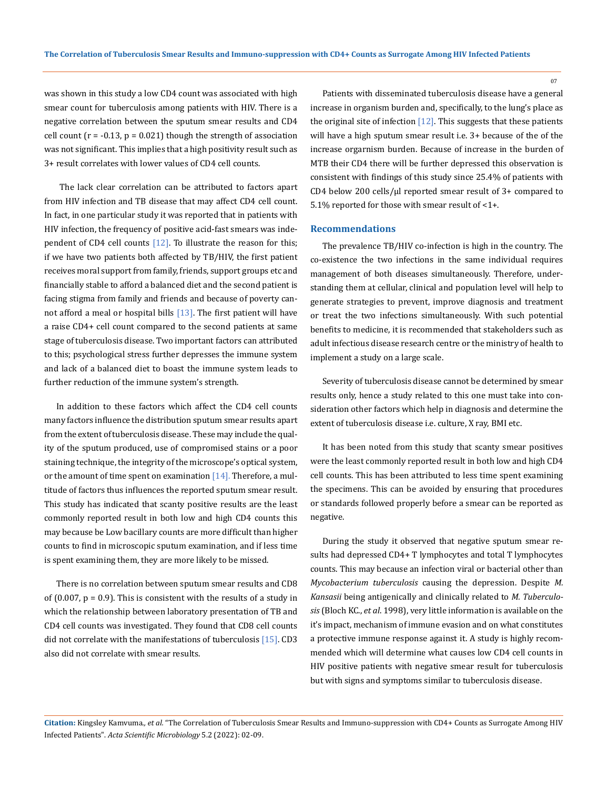was shown in this study a low CD4 count was associated with high smear count for tuberculosis among patients with HIV. There is a negative correlation between the sputum smear results and CD4 cell count  $(r = -0.13, p = 0.021)$  though the strength of association was not significant. This implies that a high positivity result such as 3+ result correlates with lower values of CD4 cell counts.

 The lack clear correlation can be attributed to factors apart from HIV infection and TB disease that may affect CD4 cell count. In fact, in one particular study it was reported that in patients with HIV infection, the frequency of positive acid-fast smears was independent of CD4 cell counts  $[12]$ . To illustrate the reason for this; if we have two patients both affected by TB/HIV, the first patient receives moral support from family, friends, support groups etc and financially stable to afford a balanced diet and the second patient is facing stigma from family and friends and because of poverty cannot afford a meal or hospital bills  $[13]$ . The first patient will have a raise CD4+ cell count compared to the second patients at same stage of tuberculosis disease. Two important factors can attributed to this; psychological stress further depresses the immune system and lack of a balanced diet to boast the immune system leads to further reduction of the immune system's strength.

In addition to these factors which affect the CD4 cell counts many factors influence the distribution sputum smear results apart from the extent of tuberculosis disease. These may include the quality of the sputum produced, use of compromised stains or a poor staining technique, the integrity of the microscope's optical system, or the amount of time spent on examination  $[14]$ . Therefore, a multitude of factors thus influences the reported sputum smear result. This study has indicated that scanty positive results are the least commonly reported result in both low and high CD4 counts this may because be Low bacillary counts are more difficult than higher counts to find in microscopic sputum examination, and if less time is spent examining them, they are more likely to be missed.

There is no correlation between sputum smear results and CD8 of  $(0.007, p = 0.9)$ . This is consistent with the results of a study in which the relationship between laboratory presentation of TB and CD4 cell counts was investigated. They found that CD8 cell counts did not correlate with the manifestations of tuberculosis [15]. CD3 also did not correlate with smear results.

Patients with disseminated tuberculosis disease have a general increase in organism burden and, specifically, to the lung's place as the original site of infection  $[12]$ . This suggests that these patients will have a high sputum smear result i.e. 3+ because of the of the increase orgarnism burden. Because of increase in the burden of MTB their CD4 there will be further depressed this observation is consistent with findings of this study since 25.4% of patients with CD4 below 200 cells/µl reported smear result of 3+ compared to 5.1% reported for those with smear result of <1+.

### **Recommendations**

The prevalence TB/HIV co-infection is high in the country. The co-existence the two infections in the same individual requires management of both diseases simultaneously. Therefore, understanding them at cellular, clinical and population level will help to generate strategies to prevent, improve diagnosis and treatment or treat the two infections simultaneously. With such potential benefits to medicine, it is recommended that stakeholders such as adult infectious disease research centre or the ministry of health to implement a study on a large scale.

Severity of tuberculosis disease cannot be determined by smear results only, hence a study related to this one must take into consideration other factors which help in diagnosis and determine the extent of tuberculosis disease i.e. culture, X ray, BMI etc.

It has been noted from this study that scanty smear positives were the least commonly reported result in both low and high CD4 cell counts. This has been attributed to less time spent examining the specimens. This can be avoided by ensuring that procedures or standards followed properly before a smear can be reported as negative.

During the study it observed that negative sputum smear results had depressed CD4+ T lymphocytes and total T lymphocytes counts. This may because an infection viral or bacterial other than *Mycobacterium tuberculosis* causing the depression. Despite *M. Kansasii* being antigenically and clinically related to *M. Tuberculosis* (Bloch KC., *et al*. 1998), very little information is available on the it's impact, mechanism of immune evasion and on what constitutes a protective immune response against it. A study is highly recommended which will determine what causes low CD4 cell counts in HIV positive patients with negative smear result for tuberculosis but with signs and symptoms similar to tuberculosis disease.

**Citation:** Kingsley Kamvuma*., et al.* "The Correlation of Tuberculosis Smear Results and Immuno-suppression with CD4+ Counts as Surrogate Among HIV Infected Patients". *Acta Scientific Microbiology* 5.2 (2022): 02-09.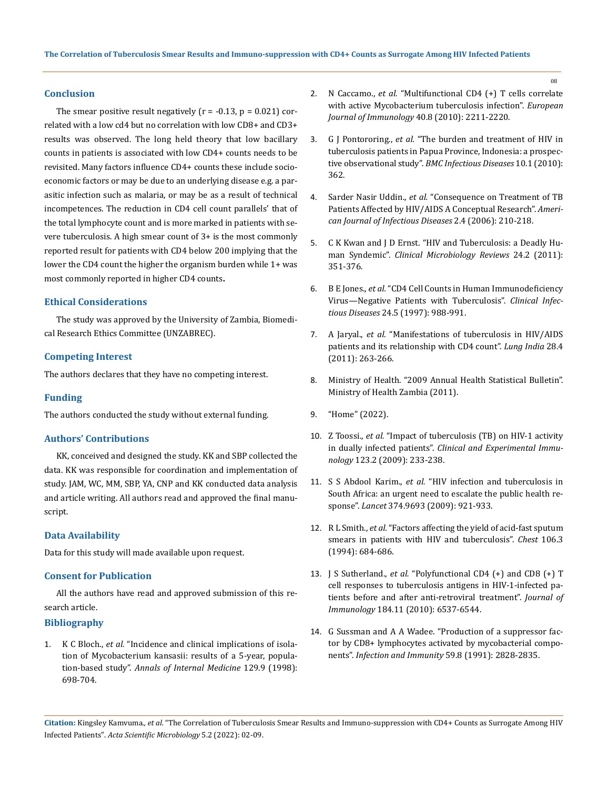### **Conclusion**

The smear positive result negatively ( $r = -0.13$ ,  $p = 0.021$ ) correlated with a low cd4 but no correlation with low CD8+ and CD3+ results was observed. The long held theory that low bacillary counts in patients is associated with low CD4+ counts needs to be revisited. Many factors influence CD4+ counts these include socioeconomic factors or may be due to an underlying disease e.g. a parasitic infection such as malaria, or may be as a result of technical incompetences. The reduction in CD4 cell count parallels' that of the total lymphocyte count and is more marked in patients with severe tuberculosis. A high smear count of 3+ is the most commonly reported result for patients with CD4 below 200 implying that the lower the CD4 count the higher the organism burden while 1+ was most commonly reported in higher CD4 counts**.**

## **Ethical Considerations**

The study was approved by the University of Zambia, Biomedical Research Ethics Committee (UNZABREC).

## **Competing Interest**

The authors declares that they have no competing interest.

### **Funding**

The authors conducted the study without external funding.

## **Authors' Contributions**

KK, conceived and designed the study. KK and SBP collected the data. KK was responsible for coordination and implementation of study. JAM, WC, MM, SBP, YA, CNP and KK conducted data analysis and article writing. All authors read and approved the final manuscript.

## **Data Availability**

Data for this study will made available upon request.

## **Consent for Publication**

All the authors have read and approved submission of this research article.

## **Bibliography**

1. K C Bloch., *et al.* ["Incidence and clinical implications of isola](https://www.acpjournals.org/doi/10.7326/0003-4819-129-9-199811010-00004)[tion of Mycobacterium kansasii: results of a 5-year, popula](https://www.acpjournals.org/doi/10.7326/0003-4819-129-9-199811010-00004)tion-based study". *[Annals of Internal Medicine](https://www.acpjournals.org/doi/10.7326/0003-4819-129-9-199811010-00004)* 129.9 (1998): [698-704.](https://www.acpjournals.org/doi/10.7326/0003-4819-129-9-199811010-00004)

- 2. N Caccamo., *et al.* ["Multifunctional CD4 \(+\) T cells correlate](https://onlinelibrary.wiley.com/doi/full/10.1002/eji.201040455)  [with active Mycobacterium tuberculosis infection".](https://onlinelibrary.wiley.com/doi/full/10.1002/eji.201040455) *European [Journal of Immunology](https://onlinelibrary.wiley.com/doi/full/10.1002/eji.201040455)* 40.8 (2010): 2211-2220.
- 3. G J Pontororing., *et al.* ["The burden and treatment of HIV in](https://bmcinfectdis.biomedcentral.com/articles/10.1186/1471-2334-10-362)  [tuberculosis patients in Papua Province, Indonesia: a prospec](https://bmcinfectdis.biomedcentral.com/articles/10.1186/1471-2334-10-362)tive observational study". *[BMC Infectious Diseases](https://bmcinfectdis.biomedcentral.com/articles/10.1186/1471-2334-10-362)* 10.1 (2010): [362.](https://bmcinfectdis.biomedcentral.com/articles/10.1186/1471-2334-10-362)
- 4. Sarder Nasir Uddin., *et al.* ["Consequence on Treatment of TB](https://www.researchgate.net/publication/26460063_Consequence_on_Treatment_of_TB_Patients_Affected_by_HIVAIDS_A_Conceptual_Research)  [Patients Affected by HIV/AIDS A Conceptual Research".](https://www.researchgate.net/publication/26460063_Consequence_on_Treatment_of_TB_Patients_Affected_by_HIVAIDS_A_Conceptual_Research) *Ameri[can Journal of Infectious Diseases](https://www.researchgate.net/publication/26460063_Consequence_on_Treatment_of_TB_Patients_Affected_by_HIVAIDS_A_Conceptual_Research)* 2.4 (2006): 210-218.
- 5. [C K Kwan and J D Ernst. "HIV and Tuberculosis: a Deadly Hu](https://pubmed.ncbi.nlm.nih.gov/21482729/)man Syndemic". *[Clinical Microbiology Reviews](https://pubmed.ncbi.nlm.nih.gov/21482729/)* 24.2 (2011): [351-376.](https://pubmed.ncbi.nlm.nih.gov/21482729/)
- 6. B E Jones., *et al.* ["CD4 Cell Counts in Human Immunodeficiency](https://academic.oup.com/cid/article/24/5/988/478723)  [Virus—Negative Patients with Tuberculosis".](https://academic.oup.com/cid/article/24/5/988/478723) *Clinical Infectious Diseases* [24.5 \(1997\): 988-991.](https://academic.oup.com/cid/article/24/5/988/478723)
- 7. A Jaryal., *et al.* ["Manifestations of tuberculosis in HIV/AIDS](https://pubmed.ncbi.nlm.nih.gov/22084539/)  [patients and its relationship with CD4 count".](https://pubmed.ncbi.nlm.nih.gov/22084539/) *Lung India* 28.4 [\(2011\): 263-266.](https://pubmed.ncbi.nlm.nih.gov/22084539/)
- 8. [Ministry of Health. "2009 Annual Health Statistical Bulletin".](https://www.moh.gov.zm/docs/reports/2009%20Annual%20Health%20Bulletin_V_12.pdf)  [Ministry of Health Zambia \(2011\).](https://www.moh.gov.zm/docs/reports/2009%20Annual%20Health%20Bulletin_V_12.pdf)
- 9. ["Home" \(2022\).](http://www.cidrz.org/)
- 10. Z Toossi., *et al.* ["Impact of tuberculosis \(TB\) on HIV-1 activity](https://onlinelibrary.wiley.com/doi/full/10.1046/j.1365-2249.2001.01401.x)  in dually infected patients". *[Clinical and Experimental Immu](https://onlinelibrary.wiley.com/doi/full/10.1046/j.1365-2249.2001.01401.x)nology* [123.2 \(2009\): 233-238.](https://onlinelibrary.wiley.com/doi/full/10.1046/j.1365-2249.2001.01401.x)
- 11. S S Abdool Karim., *et al.* ["HIV infection and tuberculosis in](https://pubmed.ncbi.nlm.nih.gov/19709731/)  [South Africa: an urgent need to escalate the public health re](https://pubmed.ncbi.nlm.nih.gov/19709731/)sponse". *Lancet* [374.9693 \(2009\): 921-933.](https://pubmed.ncbi.nlm.nih.gov/19709731/)
- 12. R L Smith., *et al.* ["Factors affecting the yield of acid-fast sputum](https://pubmed.ncbi.nlm.nih.gov/7521813/)  [smears in patients with HIV and tuberculosis".](https://pubmed.ncbi.nlm.nih.gov/7521813/) *Chest* 106.3 [\(1994\): 684-686.](https://pubmed.ncbi.nlm.nih.gov/7521813/)
- 13. J S Sutherland., *et al.* ["Polyfunctional CD4 \(+\) and CD8 \(+\) T](https://www.jimmunol.org/content/184/11/6537)  [cell responses to tuberculosis antigens in HIV-1-infected pa](https://www.jimmunol.org/content/184/11/6537)[tients before and after anti-retroviral treatment".](https://www.jimmunol.org/content/184/11/6537) *Journal of Immunology* [184.11 \(2010\): 6537-6544.](https://www.jimmunol.org/content/184/11/6537)
- 14. [G Sussman and A A Wadee. "Production of a suppressor fac](https://www.ncbi.nlm.nih.gov/pmc/articles/PMC258093/)[tor by CD8+ lymphocytes activated by mycobacterial compo](https://www.ncbi.nlm.nih.gov/pmc/articles/PMC258093/)nents". *[Infection and Immunity](https://www.ncbi.nlm.nih.gov/pmc/articles/PMC258093/)* 59.8 (1991): 2828-2835.

**Citation:** Kingsley Kamvuma*., et al.* "The Correlation of Tuberculosis Smear Results and Immuno-suppression with CD4+ Counts as Surrogate Among HIV Infected Patients". *Acta Scientific Microbiology* 5.2 (2022): 02-09.